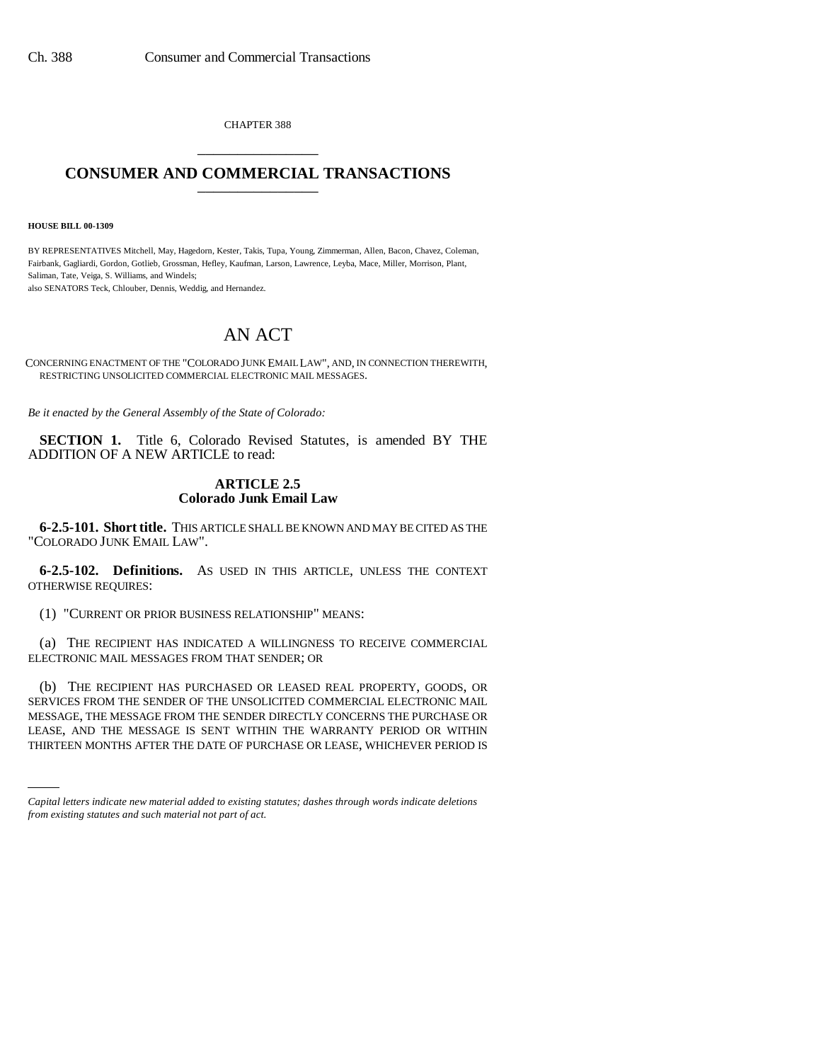CHAPTER 388 \_\_\_\_\_\_\_\_\_\_\_\_\_\_\_

## **CONSUMER AND COMMERCIAL TRANSACTIONS** \_\_\_\_\_\_\_\_\_\_\_\_\_\_\_

**HOUSE BILL 00-1309** 

BY REPRESENTATIVES Mitchell, May, Hagedorn, Kester, Takis, Tupa, Young, Zimmerman, Allen, Bacon, Chavez, Coleman, Fairbank, Gagliardi, Gordon, Gotlieb, Grossman, Hefley, Kaufman, Larson, Lawrence, Leyba, Mace, Miller, Morrison, Plant, Saliman, Tate, Veiga, S. Williams, and Windels;

also SENATORS Teck, Chlouber, Dennis, Weddig, and Hernandez.

## AN ACT

CONCERNING ENACTMENT OF THE "COLORADO JUNK EMAIL LAW", AND, IN CONNECTION THEREWITH, RESTRICTING UNSOLICITED COMMERCIAL ELECTRONIC MAIL MESSAGES.

*Be it enacted by the General Assembly of the State of Colorado:*

**SECTION 1.** Title 6, Colorado Revised Statutes, is amended BY THE ADDITION OF A NEW ARTICLE to read:

## **ARTICLE 2.5 Colorado Junk Email Law**

**6-2.5-101. Short title.** THIS ARTICLE SHALL BE KNOWN AND MAY BE CITED AS THE "COLORADO JUNK EMAIL LAW".

**6-2.5-102. Definitions.** AS USED IN THIS ARTICLE, UNLESS THE CONTEXT OTHERWISE REQUIRES:

(1) "CURRENT OR PRIOR BUSINESS RELATIONSHIP" MEANS:

(a) THE RECIPIENT HAS INDICATED A WILLINGNESS TO RECEIVE COMMERCIAL ELECTRONIC MAIL MESSAGES FROM THAT SENDER; OR

LEASE, AND THE MESSAGE IS SENT WITHIN THE WARRANTY PERIOD OR WITHIN (b) THE RECIPIENT HAS PURCHASED OR LEASED REAL PROPERTY, GOODS, OR SERVICES FROM THE SENDER OF THE UNSOLICITED COMMERCIAL ELECTRONIC MAIL MESSAGE, THE MESSAGE FROM THE SENDER DIRECTLY CONCERNS THE PURCHASE OR THIRTEEN MONTHS AFTER THE DATE OF PURCHASE OR LEASE, WHICHEVER PERIOD IS

*Capital letters indicate new material added to existing statutes; dashes through words indicate deletions from existing statutes and such material not part of act.*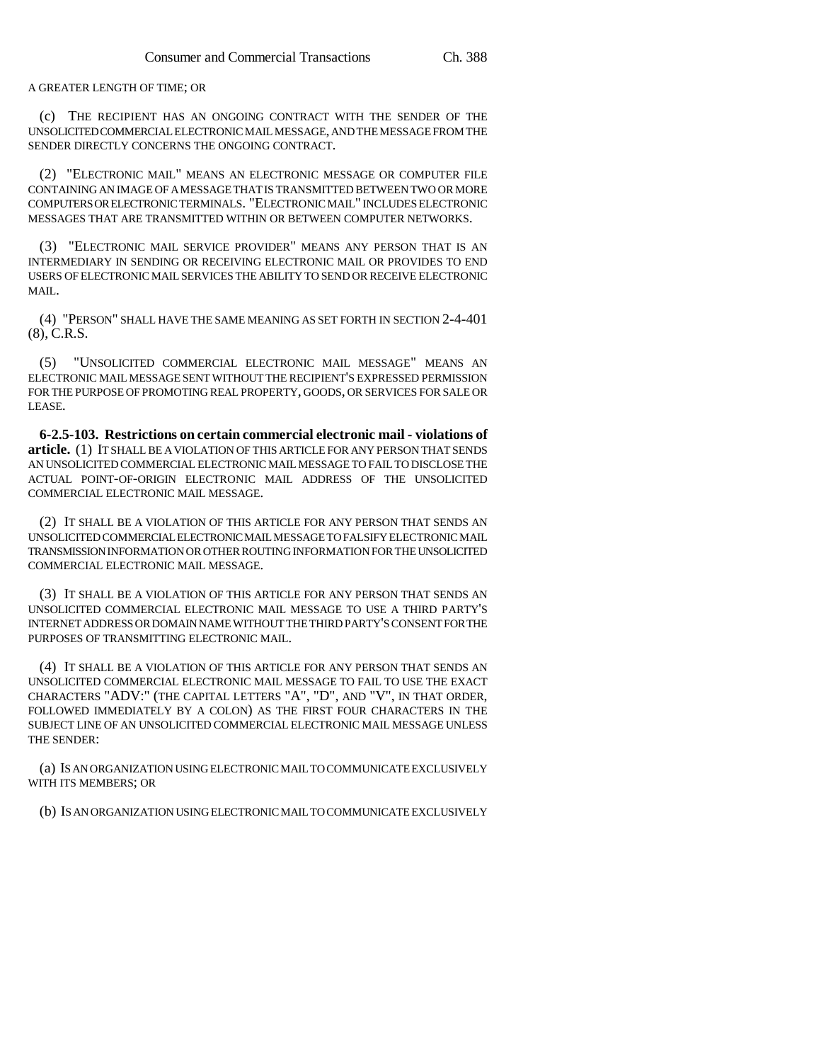A GREATER LENGTH OF TIME; OR

(c) THE RECIPIENT HAS AN ONGOING CONTRACT WITH THE SENDER OF THE UNSOLICITED COMMERCIAL ELECTRONIC MAIL MESSAGE, AND THE MESSAGE FROM THE SENDER DIRECTLY CONCERNS THE ONGOING CONTRACT.

(2) "ELECTRONIC MAIL" MEANS AN ELECTRONIC MESSAGE OR COMPUTER FILE CONTAINING AN IMAGE OF A MESSAGE THAT IS TRANSMITTED BETWEEN TWO OR MORE COMPUTERS OR ELECTRONIC TERMINALS. "ELECTRONIC MAIL" INCLUDES ELECTRONIC MESSAGES THAT ARE TRANSMITTED WITHIN OR BETWEEN COMPUTER NETWORKS.

(3) "ELECTRONIC MAIL SERVICE PROVIDER" MEANS ANY PERSON THAT IS AN INTERMEDIARY IN SENDING OR RECEIVING ELECTRONIC MAIL OR PROVIDES TO END USERS OF ELECTRONIC MAIL SERVICES THE ABILITY TO SEND OR RECEIVE ELECTRONIC MAIL.

(4) "PERSON" SHALL HAVE THE SAME MEANING AS SET FORTH IN SECTION 2-4-401 (8), C.R.S.

(5) "UNSOLICITED COMMERCIAL ELECTRONIC MAIL MESSAGE" MEANS AN ELECTRONIC MAIL MESSAGE SENT WITHOUT THE RECIPIENT'S EXPRESSED PERMISSION FOR THE PURPOSE OF PROMOTING REAL PROPERTY, GOODS, OR SERVICES FOR SALE OR LEASE.

**6-2.5-103. Restrictions on certain commercial electronic mail - violations of article.** (1) IT SHALL BE A VIOLATION OF THIS ARTICLE FOR ANY PERSON THAT SENDS AN UNSOLICITED COMMERCIAL ELECTRONIC MAIL MESSAGE TO FAIL TO DISCLOSE THE ACTUAL POINT-OF-ORIGIN ELECTRONIC MAIL ADDRESS OF THE UNSOLICITED COMMERCIAL ELECTRONIC MAIL MESSAGE.

(2) IT SHALL BE A VIOLATION OF THIS ARTICLE FOR ANY PERSON THAT SENDS AN UNSOLICITED COMMERCIAL ELECTRONIC MAIL MESSAGE TO FALSIFY ELECTRONIC MAIL TRANSMISSION INFORMATION OR OTHER ROUTING INFORMATION FOR THE UNSOLICITED COMMERCIAL ELECTRONIC MAIL MESSAGE.

(3) IT SHALL BE A VIOLATION OF THIS ARTICLE FOR ANY PERSON THAT SENDS AN UNSOLICITED COMMERCIAL ELECTRONIC MAIL MESSAGE TO USE A THIRD PARTY'S INTERNET ADDRESS OR DOMAIN NAME WITHOUT THE THIRD PARTY'S CONSENT FOR THE PURPOSES OF TRANSMITTING ELECTRONIC MAIL.

(4) IT SHALL BE A VIOLATION OF THIS ARTICLE FOR ANY PERSON THAT SENDS AN UNSOLICITED COMMERCIAL ELECTRONIC MAIL MESSAGE TO FAIL TO USE THE EXACT CHARACTERS "ADV:" (THE CAPITAL LETTERS "A", "D", AND "V", IN THAT ORDER, FOLLOWED IMMEDIATELY BY A COLON) AS THE FIRST FOUR CHARACTERS IN THE SUBJECT LINE OF AN UNSOLICITED COMMERCIAL ELECTRONIC MAIL MESSAGE UNLESS THE SENDER:

(a) IS AN ORGANIZATION USING ELECTRONIC MAIL TO COMMUNICATE EXCLUSIVELY WITH ITS MEMBERS; OR

(b) IS AN ORGANIZATION USING ELECTRONIC MAIL TO COMMUNICATE EXCLUSIVELY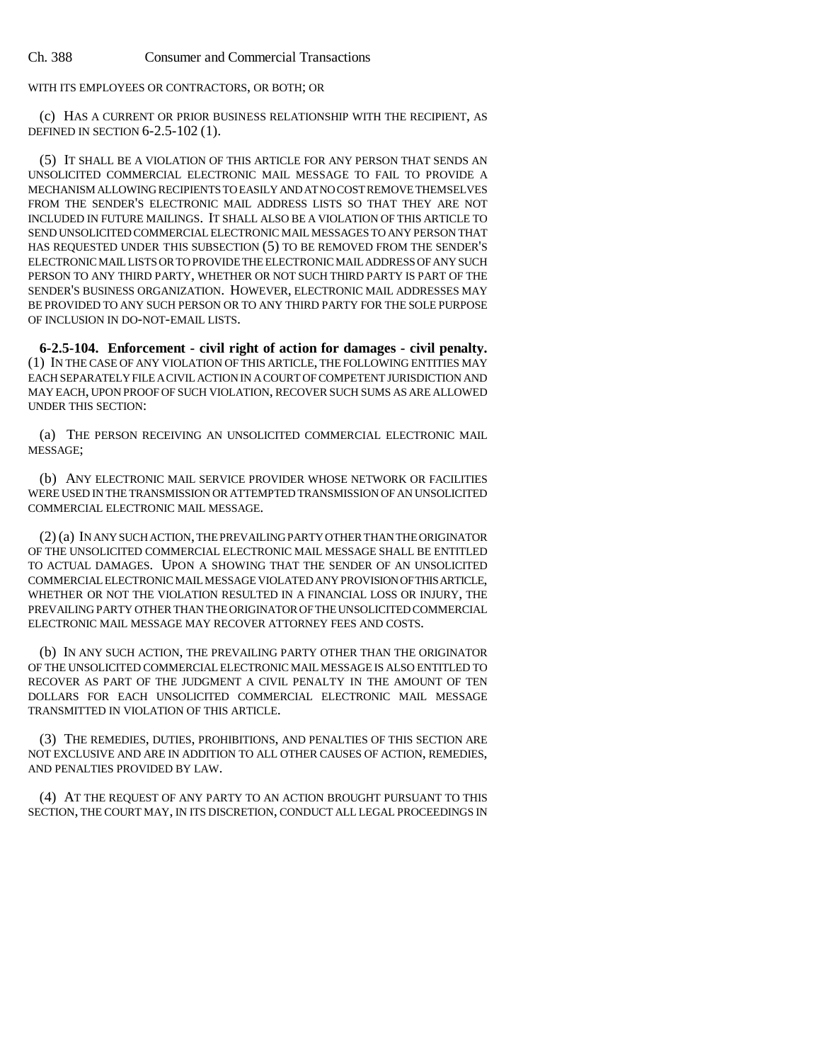WITH ITS EMPLOYEES OR CONTRACTORS, OR BOTH; OR

(c) HAS A CURRENT OR PRIOR BUSINESS RELATIONSHIP WITH THE RECIPIENT, AS DEFINED IN SECTION 6-2.5-102 (1).

(5) IT SHALL BE A VIOLATION OF THIS ARTICLE FOR ANY PERSON THAT SENDS AN UNSOLICITED COMMERCIAL ELECTRONIC MAIL MESSAGE TO FAIL TO PROVIDE A MECHANISM ALLOWING RECIPIENTS TO EASILY AND AT NO COST REMOVE THEMSELVES FROM THE SENDER'S ELECTRONIC MAIL ADDRESS LISTS SO THAT THEY ARE NOT INCLUDED IN FUTURE MAILINGS. IT SHALL ALSO BE A VIOLATION OF THIS ARTICLE TO SEND UNSOLICITED COMMERCIAL ELECTRONIC MAIL MESSAGES TO ANY PERSON THAT HAS REQUESTED UNDER THIS SUBSECTION (5) TO BE REMOVED FROM THE SENDER'S ELECTRONIC MAIL LISTS OR TO PROVIDE THE ELECTRONIC MAIL ADDRESS OF ANY SUCH PERSON TO ANY THIRD PARTY, WHETHER OR NOT SUCH THIRD PARTY IS PART OF THE SENDER'S BUSINESS ORGANIZATION. HOWEVER, ELECTRONIC MAIL ADDRESSES MAY BE PROVIDED TO ANY SUCH PERSON OR TO ANY THIRD PARTY FOR THE SOLE PURPOSE OF INCLUSION IN DO-NOT-EMAIL LISTS.

**6-2.5-104. Enforcement - civil right of action for damages - civil penalty.** (1) IN THE CASE OF ANY VIOLATION OF THIS ARTICLE, THE FOLLOWING ENTITIES MAY EACH SEPARATELY FILE A CIVIL ACTION IN A COURT OF COMPETENT JURISDICTION AND MAY EACH, UPON PROOF OF SUCH VIOLATION, RECOVER SUCH SUMS AS ARE ALLOWED UNDER THIS SECTION:

(a) THE PERSON RECEIVING AN UNSOLICITED COMMERCIAL ELECTRONIC MAIL MESSAGE;

(b) ANY ELECTRONIC MAIL SERVICE PROVIDER WHOSE NETWORK OR FACILITIES WERE USED IN THE TRANSMISSION OR ATTEMPTED TRANSMISSION OF AN UNSOLICITED COMMERCIAL ELECTRONIC MAIL MESSAGE.

(2) (a) IN ANY SUCH ACTION, THE PREVAILING PARTY OTHER THAN THE ORIGINATOR OF THE UNSOLICITED COMMERCIAL ELECTRONIC MAIL MESSAGE SHALL BE ENTITLED TO ACTUAL DAMAGES. UPON A SHOWING THAT THE SENDER OF AN UNSOLICITED COMMERCIAL ELECTRONIC MAIL MESSAGE VIOLATED ANY PROVISION OF THIS ARTICLE, WHETHER OR NOT THE VIOLATION RESULTED IN A FINANCIAL LOSS OR INJURY, THE PREVAILING PARTY OTHER THAN THE ORIGINATOR OF THE UNSOLICITED COMMERCIAL ELECTRONIC MAIL MESSAGE MAY RECOVER ATTORNEY FEES AND COSTS.

(b) IN ANY SUCH ACTION, THE PREVAILING PARTY OTHER THAN THE ORIGINATOR OF THE UNSOLICITED COMMERCIAL ELECTRONIC MAIL MESSAGE IS ALSO ENTITLED TO RECOVER AS PART OF THE JUDGMENT A CIVIL PENALTY IN THE AMOUNT OF TEN DOLLARS FOR EACH UNSOLICITED COMMERCIAL ELECTRONIC MAIL MESSAGE TRANSMITTED IN VIOLATION OF THIS ARTICLE.

(3) THE REMEDIES, DUTIES, PROHIBITIONS, AND PENALTIES OF THIS SECTION ARE NOT EXCLUSIVE AND ARE IN ADDITION TO ALL OTHER CAUSES OF ACTION, REMEDIES, AND PENALTIES PROVIDED BY LAW.

(4) AT THE REQUEST OF ANY PARTY TO AN ACTION BROUGHT PURSUANT TO THIS SECTION, THE COURT MAY, IN ITS DISCRETION, CONDUCT ALL LEGAL PROCEEDINGS IN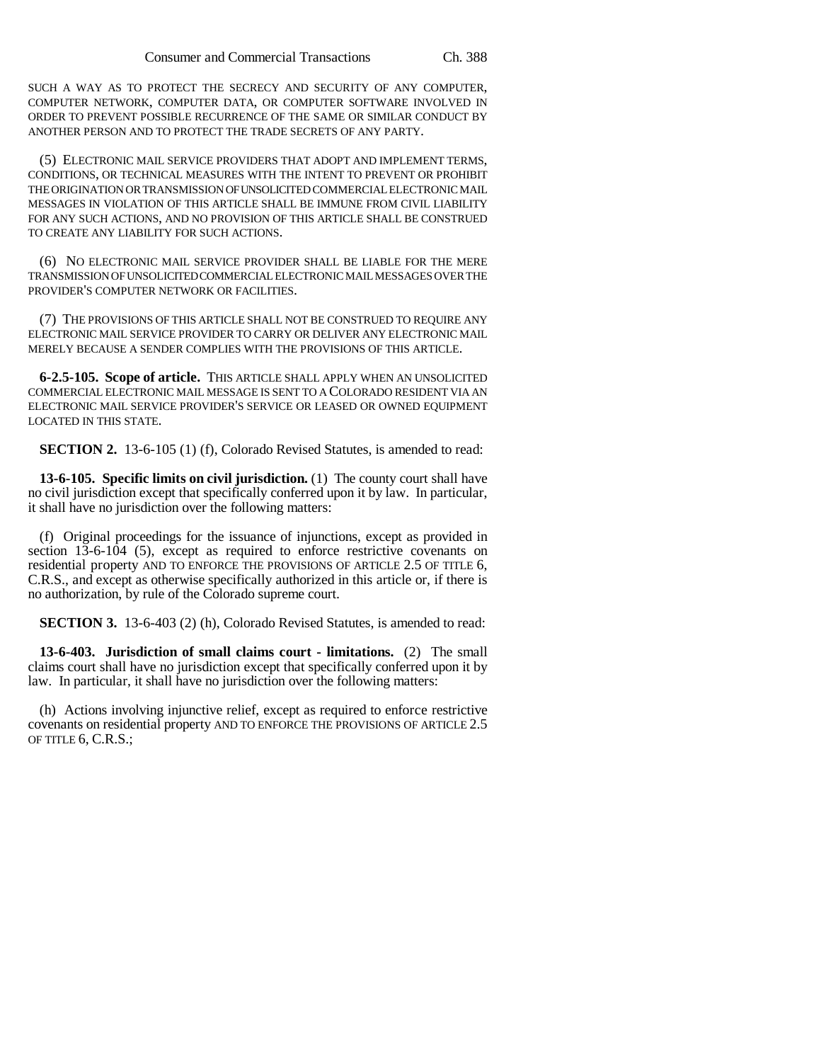SUCH A WAY AS TO PROTECT THE SECRECY AND SECURITY OF ANY COMPUTER, COMPUTER NETWORK, COMPUTER DATA, OR COMPUTER SOFTWARE INVOLVED IN ORDER TO PREVENT POSSIBLE RECURRENCE OF THE SAME OR SIMILAR CONDUCT BY ANOTHER PERSON AND TO PROTECT THE TRADE SECRETS OF ANY PARTY.

(5) ELECTRONIC MAIL SERVICE PROVIDERS THAT ADOPT AND IMPLEMENT TERMS, CONDITIONS, OR TECHNICAL MEASURES WITH THE INTENT TO PREVENT OR PROHIBIT THE ORIGINATION OR TRANSMISSION OF UNSOLICITED COMMERCIAL ELECTRONIC MAIL MESSAGES IN VIOLATION OF THIS ARTICLE SHALL BE IMMUNE FROM CIVIL LIABILITY FOR ANY SUCH ACTIONS, AND NO PROVISION OF THIS ARTICLE SHALL BE CONSTRUED TO CREATE ANY LIABILITY FOR SUCH ACTIONS.

(6) NO ELECTRONIC MAIL SERVICE PROVIDER SHALL BE LIABLE FOR THE MERE TRANSMISSION OF UNSOLICITED COMMERCIAL ELECTRONIC MAIL MESSAGES OVER THE PROVIDER'S COMPUTER NETWORK OR FACILITIES.

(7) THE PROVISIONS OF THIS ARTICLE SHALL NOT BE CONSTRUED TO REQUIRE ANY ELECTRONIC MAIL SERVICE PROVIDER TO CARRY OR DELIVER ANY ELECTRONIC MAIL MERELY BECAUSE A SENDER COMPLIES WITH THE PROVISIONS OF THIS ARTICLE.

**6-2.5-105. Scope of article.** THIS ARTICLE SHALL APPLY WHEN AN UNSOLICITED COMMERCIAL ELECTRONIC MAIL MESSAGE IS SENT TO A COLORADO RESIDENT VIA AN ELECTRONIC MAIL SERVICE PROVIDER'S SERVICE OR LEASED OR OWNED EQUIPMENT LOCATED IN THIS STATE.

**SECTION 2.** 13-6-105 (1) (f), Colorado Revised Statutes, is amended to read:

**13-6-105. Specific limits on civil jurisdiction.** (1) The county court shall have no civil jurisdiction except that specifically conferred upon it by law. In particular, it shall have no jurisdiction over the following matters:

(f) Original proceedings for the issuance of injunctions, except as provided in section 13-6-104 (5), except as required to enforce restrictive covenants on residential property AND TO ENFORCE THE PROVISIONS OF ARTICLE 2.5 OF TITLE 6, C.R.S., and except as otherwise specifically authorized in this article or, if there is no authorization, by rule of the Colorado supreme court.

**SECTION 3.** 13-6-403 (2) (h), Colorado Revised Statutes, is amended to read:

**13-6-403. Jurisdiction of small claims court - limitations.** (2) The small claims court shall have no jurisdiction except that specifically conferred upon it by law. In particular, it shall have no jurisdiction over the following matters:

(h) Actions involving injunctive relief, except as required to enforce restrictive covenants on residential property AND TO ENFORCE THE PROVISIONS OF ARTICLE 2.5 OF TITLE 6, C.R.S.;